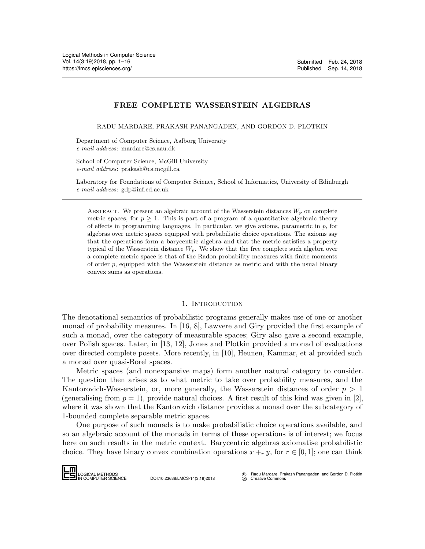# FREE COMPLETE WASSERSTEIN ALGEBRAS

RADU MARDARE, PRAKASH PANANGADEN, AND GORDON D. PLOTKIN

Department of Computer Science, Aalborg University e-mail address: mardare@cs.aau.dk

School of Computer Science, McGill University e-mail address: prakash@cs.mcgill.ca

Laboratory for Foundations of Computer Science, School of Informatics, University of Edinburgh e-mail address: gdp@inf.ed.ac.uk

ABSTRACT. We present an algebraic account of the Wasserstein distances  $W_p$  on complete metric spaces, for  $p \geq 1$ . This is part of a program of a quantitative algebraic theory of effects in programming languages. In particular, we give axioms, parametric in p, for algebras over metric spaces equipped with probabilistic choice operations. The axioms say that the operations form a barycentric algebra and that the metric satisfies a property typical of the Wasserstein distance  $W_p$ . We show that the free complete such algebra over a complete metric space is that of the Radon probability measures with finite moments of order p, equipped with the Wasserstein distance as metric and with the usual binary convex sums as operations.

## 1. INTRODUCTION

The denotational semantics of probabilistic programs generally makes use of one or another monad of probability measures. In [\[16,](#page-15-1) [8\]](#page-15-2), Lawvere and Giry provided the first example of such a monad, over the category of measurable spaces; Giry also gave a second example, over Polish spaces. Later, in [\[13,](#page-15-3) [12\]](#page-15-4), Jones and Plotkin provided a monad of evaluations over directed complete posets. More recently, in [\[10\]](#page-15-5), Heunen, Kammar, et al provided such a monad over quasi-Borel spaces.

Metric spaces (and nonexpansive maps) form another natural category to consider. The question then arises as to what metric to take over probability measures, and the Kantorovich-Wasserstein, or, more generally, the Wasserstein distances of order  $p > 1$ (generalising from  $p = 1$ ), provide natural choices. A first result of this kind was given in [\[2\]](#page-15-6), where it was shown that the Kantorovich distance provides a monad over the subcategory of 1-bounded complete separable metric spaces.

One purpose of such monads is to make probabilistic choice operations available, and so an algebraic account of the monads in terms of these operations is of interest; we focus here on such results in the metric context. Barycentric algebras axiomatise probabilistic choice. They have binary convex combination operations  $x +_r y$ , for  $r \in [0,1]$ ; one can think (generalising from<br>where it was show<br>1-bounded compl<br>One purpose<br>so an algebraic a<br>here on such res<br>choice. They hav<br>**LOGICAL METHODS** 



 c Radu Mardare, Prakash Panangaden, and Gordon D. Plotkin  $\overline{\mathfrak{S}}$  [Creative Commons](http://creativecommons.org/about/licenses)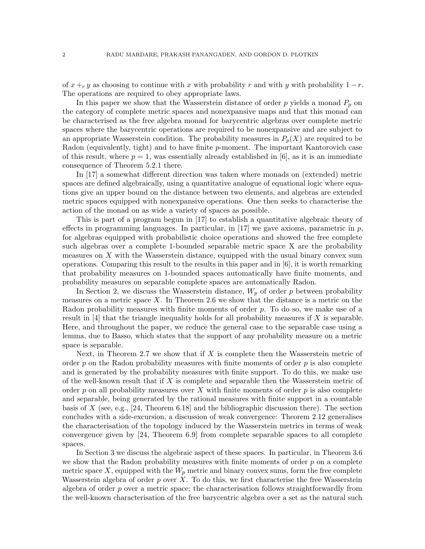of  $x +_r y$  as choosing to continue with x with probability r and with y with probability  $1 - r$ . The operations are required to obey appropriate laws.

In this paper we show that the Wasserstein distance of order  $p$  yields a monad  $P_p$  on the category of complete metric spaces and nonexpansive maps and that this monad can be characterised as the free algebra monad for barycentric algebras over complete metric spaces where the barycentric operations are required to be nonexpansive and are subject to an appropriate Wasserstein condition. The probability measures in  $P_p(X)$  are required to be Radon (equivalently, tight) and to have finite p-moment. The important Kantorovich case of this result, where  $p = 1$ , was essentially already established in [\[6\]](#page-15-7), as it is an immediate consequence of Theorem 5.2.1 there.

In [\[17\]](#page-15-8) a somewhat different direction was taken where monads on (extended) metric spaces are defined algebraically, using a quantitative analogue of equational logic where equations give an upper bound on the distance between two elements, and algebras are extended metric spaces equipped with nonexpansive operations. One then seeks to characterise the action of the monad on as wide a variety of spaces as possible.

This is part of a program begun in [\[17\]](#page-15-8) to establish a quantitative algebraic theory of effects in programming languages. In particular, in [\[17\]](#page-15-8) we gave axioms, parametric in  $p$ , for algebras equipped with probabilistic choice operations and showed the free complete such algebras over a complete 1-bounded separable metric space X are the probability measures on  $X$  with the Wasserstein distance, equipped with the usual binary convex sum operations. Comparing this result to the results in this paper and in [\[6\]](#page-15-7), it is worth remarking that probability measures on 1-bounded spaces automatically have finite moments, and probability measures on separable complete spaces are automatically Radon.

In Section [2,](#page-2-0) we discuss the Wasserstein distance,  $W_p$  of order p between probability measures on a metric space  $X$ . In Theorem [2.6](#page-5-0) we show that the distance is a metric on the Radon probability measures with finite moments of order p. To do so, we make use of a result in  $[4]$  that the triangle inequality holds for all probability measures if X is separable. Here, and throughout the paper, we reduce the general case to the separable case using a lemma, due to Basso, which states that the support of any probability measure on a metric space is separable.

Next, in Theorem [2.7](#page-6-0) we show that if  $X$  is complete then the Wasserstein metric of order  $p$  on the Radon probability measures with finite moments of order  $p$  is also complete and is generated by the probability measures with finite support. To do this, we make use of the well-known result that if  $X$  is complete and separable then the Wasserstein metric of order  $p$  on all probability measures over X with finite moments of order  $p$  is also complete and separable, being generated by the rational measures with finite support in a countable basis of X (see, e.g., [\[24,](#page-15-10) Theorem 6.18] and the bibliographic discussion there). The section concludes with a side-excursion, a discussion of weak convergence: Theorem [2.12](#page-8-0) generalises the characterisation of the topology induced by the Wasserstein metrics in terms of weak convergence given by [\[24,](#page-15-10) Theorem 6.9] from complete separable spaces to all complete spaces.

In Section [3](#page-8-1) we discuss the algebraic aspect of these spaces. In particular, in Theorem [3.6](#page-12-0) we show that the Radon probability measures with finite moments of order  $p$  on a complete metric space X, equipped with the  $W_p$  metric and binary convex sums, form the free complete Wasserstein algebra of order  $p$  over  $X$ . To do this, we first characterise the free Wasserstein algebra of order p over a metric space; the characterisation follows straightforwardly from the well-known characterisation of the free barycentric algebra over a set as the natural such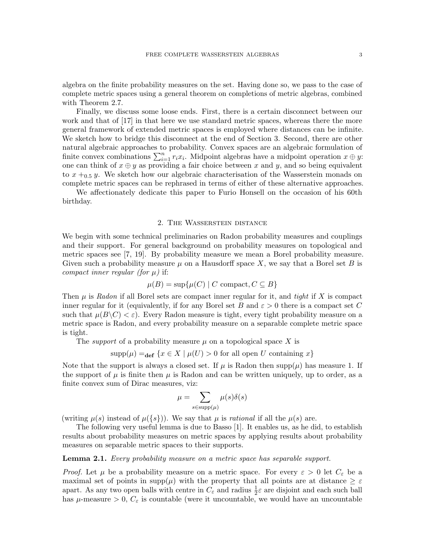algebra on the finite probability measures on the set. Having done so, we pass to the case of complete metric spaces using a general theorem on completions of metric algebras, combined with Theorem [2.7.](#page-6-0)

Finally, we discuss some loose ends. First, there is a certain disconnect between our work and that of [\[17\]](#page-15-8) in that here we use standard metric spaces, whereas there the more general framework of extended metric spaces is employed where distances can be infinite. We sketch how to bridge this disconnect at the end of Section [3.](#page-8-1) Second, there are other natural algebraic approaches to probability. Convex spaces are an algebraic formulation of finite convex combinations  $\sum_{i=1}^{n} r_i x_i$ . Midpoint algebras have a midpoint operation  $x \oplus y$ : one can think of  $x \oplus y$  as providing a fair choice between x and y, and so being equivalent to  $x +_{0.5} y$ . We sketch how our algebraic characterisation of the Wasserstein monads on complete metric spaces can be rephrased in terms of either of these alternative approaches.

We affectionately dedicate this paper to Furio Honsell on the occasion of his 60th birthday.

## 2. The Wasserstein distance

<span id="page-2-0"></span>We begin with some technical preliminaries on Radon probability measures and couplings and their support. For general background on probability measures on topological and metric spaces see [\[7,](#page-15-11) [19\]](#page-15-12). By probability measure we mean a Borel probability measure. Given such a probability measure  $\mu$  on a Hausdorff space X, we say that a Borel set B is compact inner regular (for  $\mu$ ) if:

$$
\mu(B) = \sup \{ \mu(C) \mid C \text{ compact}, C \subseteq B \}
$$

Then  $\mu$  is Radon if all Borel sets are compact inner regular for it, and tight if X is compact inner regular for it (equivalently, if for any Borel set B and  $\varepsilon > 0$  there is a compact set C such that  $\mu(B\setminus C)<\varepsilon$ ). Every Radon measure is tight, every tight probability measure on a metric space is Radon, and every probability measure on a separable complete metric space is tight.

The *support* of a probability measure  $\mu$  on a topological space X is

 $\text{supp}(\mu) =_{\text{def}} \{x \in X \mid \mu(U) > 0 \text{ for all open } U \text{ containing } x\}$ 

Note that the support is always a closed set. If  $\mu$  is Radon then supp $(\mu)$  has measure 1. If the support of  $\mu$  is finite then  $\mu$  is Radon and can be written uniquely, up to order, as a finite convex sum of Dirac measures, viz:

$$
\mu = \sum_{s \in \text{supp}(\mu)} \mu(s)\delta(s)
$$

(writing  $\mu(s)$  instead of  $\mu({s})$ ). We say that  $\mu$  is rational if all the  $\mu(s)$  are.

The following very useful lemma is due to Basso [\[1\]](#page-15-13). It enables us, as he did, to establish results about probability measures on metric spaces by applying results about probability measures on separable metric spaces to their supports.

<span id="page-2-1"></span>**Lemma 2.1.** Every probability measure on a metric space has separable support.

*Proof.* Let  $\mu$  be a probability measure on a metric space. For every  $\varepsilon > 0$  let  $C_{\varepsilon}$  be a maximal set of points in supp $(\mu)$  with the property that all points are at distance  $\geq \varepsilon$ apart. As any two open balls with centre in  $C_{\varepsilon}$  and radius  $\frac{1}{2}\varepsilon$  are disjoint and each such ball has  $\mu$ -measure  $> 0$ ,  $C_{\varepsilon}$  is countable (were it uncountable, we would have an uncountable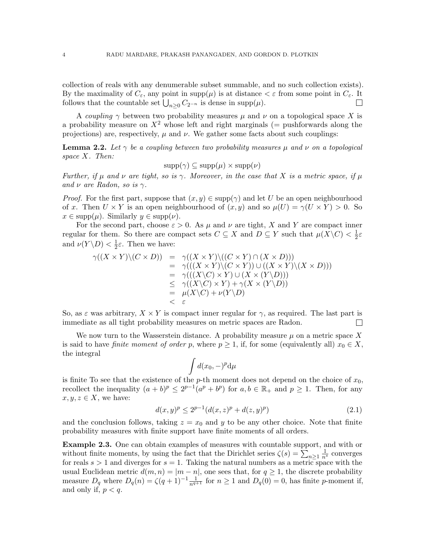collection of reals with any denumerable subset summable, and no such collection exists). By the maximality of  $C_{\varepsilon}$ , any point in supp $(\mu)$  is at distance  $\epsilon \varepsilon$  from some point in  $C_{\varepsilon}$ . It follows that the countable set  $\bigcup_{n\geq 0} C_{2^{-n}}$  is dense in supp $(\mu)$ .  $\Box$ 

A coupling  $\gamma$  between two probability measures  $\mu$  and  $\nu$  on a topological space X is a probability measure on  $X^2$  whose left and right marginals (= pushforwards along the projections) are, respectively,  $\mu$  and  $\nu$ . We gather some facts about such couplings:

<span id="page-3-0"></span>**Lemma 2.2.** Let  $\gamma$  be a coupling between two probability measures  $\mu$  and  $\nu$  on a topological space X. Then:

 $\text{supp}(\gamma) \subseteq \text{supp}(\mu) \times \text{supp}(\nu)$ 

Further, if  $\mu$  and  $\nu$  are tight, so is  $\gamma$ . Moreover, in the case that X is a metric space, if  $\mu$ and  $\nu$  are Radon, so is  $\gamma$ .

*Proof.* For the first part, suppose that  $(x, y) \in \text{supp}(\gamma)$  and let U be an open neighbourhood of x. Then  $U \times Y$  is an open neighbourhood of  $(x, y)$  and so  $\mu(U) = \gamma(U \times Y) > 0$ . So  $x \in \text{supp}(\mu)$ . Similarly  $y \in \text{supp}(\nu)$ .

For the second part, choose  $\varepsilon > 0$ . As  $\mu$  and  $\nu$  are tight, X and Y are compact inner regular for them. So there are compact sets  $C \subseteq X$  and  $D \subseteq Y$  such that  $\mu(X \backslash C) < \frac{1}{2}$  $rac{1}{2}\varepsilon$ and  $\nu(Y \backslash D) < \frac{1}{2}$  $\frac{1}{2}\varepsilon$ . Then we have:

$$
\gamma((X \times Y)\setminus (C \times D)) = \gamma((X \times Y)\setminus ((C \times Y) \cap (X \times D)))
$$
  
\n
$$
= \gamma(((X \times Y)\setminus (C \times Y)) \cup ((X \times Y)\setminus (X \times D)))
$$
  
\n
$$
= \gamma(((X\setminus C) \times Y) \cup (X \times (Y\setminus D)))
$$
  
\n
$$
\leq \gamma((X\setminus C) \times Y) + \gamma(X \times (Y\setminus D))
$$
  
\n
$$
= \mu(X\setminus C) + \nu(Y\setminus D)
$$
  
\n
$$
< \varepsilon
$$

So, as  $\varepsilon$  was arbitrary,  $X \times Y$  is compact inner regular for  $\gamma$ , as required. The last part is immediate as all tight probability measures on metric spaces are Radon.  $\Box$ 

We now turn to the Wasserstein distance. A probability measure  $\mu$  on a metric space X is said to have *finite moment of order p*, where  $p \ge 1$ , if, for some (equivalently all)  $x_0 \in X$ , the integral

$$
\int d(x_0, -)^p \mathrm{d}\mu
$$

is finite To see that the existence of the p-th moment does not depend on the choice of  $x_0$ , recollect the inequality  $(a + b)^p \leq 2^{p-1}(a^p + b^p)$  for  $a, b \in \mathbb{R}_+$  and  $p \geq 1$ . Then, for any  $x, y, z \in X$ , we have:

$$
d(x,y)^p \le 2^{p-1} (d(x,z)^p + d(z,y)^p)
$$
\n(2.1)

and the conclusion follows, taking  $z = x_0$  and y to be any other choice. Note that finite probability measures with finite support have finite moments of all orders.

<span id="page-3-1"></span>Example 2.3. One can obtain examples of measures with countable support, and with or without finite moments, by using the fact that the Dirichlet series  $\zeta(s) = \sum_{n\geq 1} \frac{1}{n^s}$  converges for reals  $s > 1$  and diverges for  $s = 1$ . Taking the natural numbers as a metric space with the usual Euclidean metric  $d(m, n) = |m - n|$ , one sees that, for  $q \ge 1$ , the discrete probability measure  $D_q$  where  $D_q(n) = \zeta(q+1)^{-1} \frac{1}{n^{q+1}}$  for  $n \ge 1$  and  $D_q(0) = 0$ , has finite p-moment if, and only if,  $p < q$ .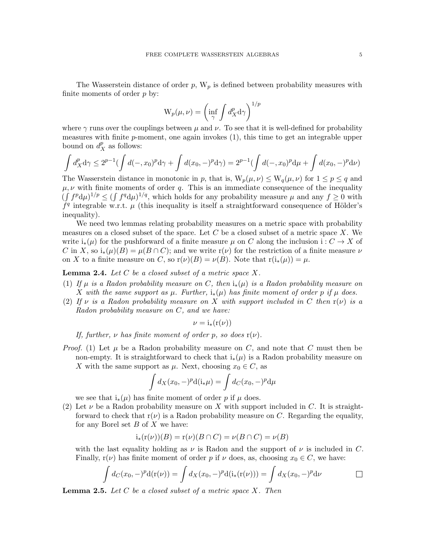The Wasserstein distance of order  $p$ ,  $W_p$  is defined between probability measures with finite moments of order  $p$  by:

$$
W_p(\mu, \nu) = \left(\inf_{\gamma} \int d_X^p d\gamma\right)^{1/p}
$$

where  $\gamma$  runs over the couplings between  $\mu$  and  $\nu$ . To see that it is well-defined for probability measures with finite p-moment, one again invokes (1), this time to get an integrable upper bound on  $d_X^p$  as follows:

$$
\int d_X^p \, d\gamma \le 2^{p-1} \left( \int d(-,x_0)^p \, d\gamma + \int d(x_0, -)^p \, d\gamma \right) = 2^{p-1} \left( \int d(-,x_0)^p \, d\mu + \int d(x_0, -)^p \, d\nu \right)
$$

The Wasserstein distance in monotonic in p, that is,  $W_p(\mu, \nu) \le W_q(\mu, \nu)$  for  $1 \le p \le q$  and  $\mu, \nu$  with finite moments of order q. This is an immediate consequence of the inequality  $(\int f^p d\mu)^{1/p} \leq (\int f^q d\mu)^{1/q}$ , which holds for any probability measure  $\mu$  and any  $f \geq 0$  with  $\tilde{f}^q$  integrable w.r.t.  $\mu$  (this inequality is itself a straightforward consequence of Hölder's inequality).

We need two lemmas relating probability measures on a metric space with probability measures on a closed subset of the space. Let  $C$  be a closed subset of a metric space  $X$ . We write  $i_*(\mu)$  for the pushforward of a finite measure  $\mu$  on C along the inclusion  $i: C \to X$  of C in X, so  $i_*(\mu)(B) = \mu(B \cap C)$ ; and we write  $r(\nu)$  for the restriction of a finite measure  $\nu$ on X to a finite measure on C, so  $r(\nu)(B) = \nu(B)$ . Note that  $r(i_*(\mu)) = \mu$ .

**Lemma 2.4.** Let  $C$  be a closed subset of a metric space  $X$ .

- <span id="page-4-0"></span>(1) If  $\mu$  is a Radon probability measure on C, then  $i_*(\mu)$  is a Radon probability measure on X with the same support as  $\mu$ . Further, i<sub>\*</sub>( $\mu$ ) has finite moment of order p if  $\mu$  does.
- <span id="page-4-1"></span>(2) If  $\nu$  is a Radon probability measure on X with support included in C then  $r(\nu)$  is a Radon probability measure on C, and we have:

$$
\nu = i_*(r(\nu))
$$

If, further,  $\nu$  has finite moment of order p, so does  $r(\nu)$ .

*Proof.* (1) Let  $\mu$  be a Radon probability measure on C, and note that C must then be non-empty. It is straightforward to check that  $i_*(\mu)$  is a Radon probability measure on X with the same support as  $\mu$ . Next, choosing  $x_0 \in C$ , as

$$
\int d_X(x_0, -)^p \mathrm{d}(\mathbf{i}_*\mu) = \int d_C(x_0, -)^p \mathrm{d}\mu
$$

we see that  $i_*(\mu)$  has finite moment of order p if  $\mu$  does.

(2) Let  $\nu$  be a Radon probability measure on X with support included in C. It is straightforward to check that  $r(\nu)$  is a Radon probability measure on C. Regarding the equality, for any Borel set  $B$  of  $X$  we have:

$$
i_*(r(\nu))(B) = r(\nu)(B \cap C) = \nu(B \cap C) = \nu(B)
$$

with the last equality holding as  $\nu$  is Radon and the support of  $\nu$  is included in C. Finally,  $r(\nu)$  has finite moment of order p if  $\nu$  does, as, choosing  $x_0 \in C$ , we have:

$$
\int d_C(x_0, -)^p d(r(\nu)) = \int d_X(x_0, -)^p d(i_*(r(\nu))) = \int d_X(x_0, -)^p d\nu \qquad \Box
$$

**Lemma 2.5.** Let  $C$  be a closed subset of a metric space  $X$ . Then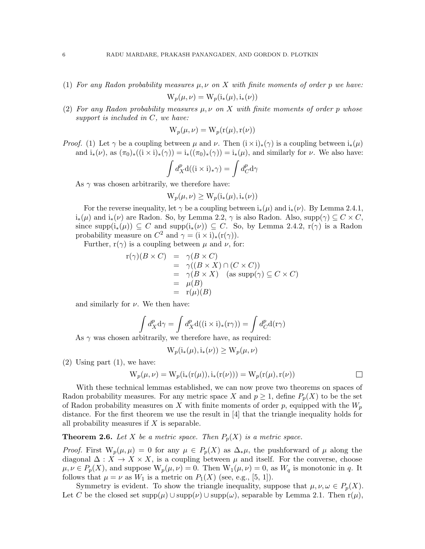- <span id="page-5-2"></span>(1) For any Radon probability measures  $\mu, \nu$  on X with finite moments of order p we have:  $W_p(\mu, \nu) = W_p(i_*(\mu), i_*(\nu))$
- <span id="page-5-1"></span>(2) For any Radon probability measures  $\mu, \nu$  on X with finite moments of order p whose support is included in C, we have:

$$
W_p(\mu, \nu) = W_p(r(\mu), r(\nu))
$$

*Proof.* (1) Let  $\gamma$  be a coupling between  $\mu$  and  $\nu$ . Then  $(i \times i)_*(\gamma)$  is a coupling between  $i_*(\mu)$ and  $i_*(\nu)$ , as  $(\pi_0)_*(\langle i \times i \rangle_*(\gamma)) = i_*(\langle \pi_0 \rangle_*(\gamma)) = i_*(\mu)$ , and similarly for  $\nu$ . We also have:

$$
\int d_X^p \mathbf{d}((\mathbf{i} \times \mathbf{i})_* \gamma) = \int d_C^p \mathbf{d} \gamma
$$

As  $\gamma$  was chosen arbitrarily, we therefore have:

$$
W_p(\mu, \nu) \ge W_p(i_*(\mu), i_*(\nu))
$$

For the reverse inequality, let  $\gamma$  be a coupling between  $i_*(\mu)$  and  $i_*(\nu)$ . By Lemma [2.4.1,](#page-4-0)  $i_*(\mu)$  and  $i_*(\nu)$  are Radon. So, by Lemma [2.2,](#page-3-0)  $\gamma$  is also Radon. Also,  $\text{supp}(\gamma) \subseteq C \times C$ , since  $\text{supp}(i_*(\mu)) \subseteq C$  and  $\text{supp}(i_*(\nu)) \subseteq C$ . So, by Lemma [2.4.2,](#page-4-1)  $r(\gamma)$  is a Radon probability measure on  $C^2$  and  $\gamma = (\mathbf{i} \times \mathbf{i})_*(\mathbf{r}(\gamma)).$ 

Further,  $r(\gamma)$  is a coupling between  $\mu$  and  $\nu$ , for:

$$
\begin{array}{rcl}\nr(\gamma)(B \times C) & = & \gamma(B \times C) \\
& = & \gamma((B \times X) \cap (C \times C)) \\
& = & \gamma(B \times X) \quad (\text{as supp}(\gamma) \subseteq C \times C) \\
& = & \mu(B) \\
& = & \text{r}(\mu)(B)\n\end{array}
$$

and similarly for  $\nu$ . We then have:

$$
\int d_X^p \mathbf{d}\gamma = \int d_X^p \mathbf{d}((\mathbf{i} \times \mathbf{i})_*(\mathbf{r}\gamma)) = \int d_C^p \mathbf{d}(\mathbf{r}\gamma)
$$

As  $\gamma$  was chosen arbitrarily, we therefore have, as required:

$$
W_p(i_*(\mu), i_*(\nu)) \ge W_p(\mu, \nu)
$$

 $(2)$  Using part  $(1)$ , we have:

$$
W_p(\mu, \nu) = W_p(i_*(r(\mu)), i_*(r(\nu))) = W_p(r(\mu), r(\nu))
$$

With these technical lemmas established, we can now prove two theorems on spaces of Radon probability measures. For any metric space X and  $p \geq 1$ , define  $P_p(X)$  to be the set of Radon probability measures on X with finite moments of order p, equipped with the  $W_p$ distance. For the first theorem we use the result in [\[4\]](#page-15-9) that the triangle inequality holds for all probability measures if  $X$  is separable.

<span id="page-5-0"></span>**Theorem 2.6.** Let X be a metric space. Then  $P_p(X)$  is a metric space.

*Proof.* First  $W_p(\mu, \mu) = 0$  for any  $\mu \in P_p(X)$  as  $\Delta_*\mu$ , the pushforward of  $\mu$  along the diagonal  $\Delta: X \to X \times X$ , is a coupling between  $\mu$  and itself. For the converse, choose  $\mu, \nu \in P_p(X)$ , and suppose  $W_p(\mu, \nu) = 0$ . Then  $W_1(\mu, \nu) = 0$ , as  $W_q$  is monotonic in q. It follows that  $\mu = \nu$  as  $W_1$  is a metric on  $P_1(X)$  (see, e.g., [\[5,](#page-15-14) [1\]](#page-15-13)).

Symmetry is evident. To show the triangle inequality, suppose that  $\mu, \nu, \omega \in P_p(X)$ . Let C be the closed set  $\text{supp}(\mu) \cup \text{supp}(\nu) \cup \text{supp}(\omega)$ , separable by Lemma [2.1.](#page-2-1) Then  $r(\mu)$ ,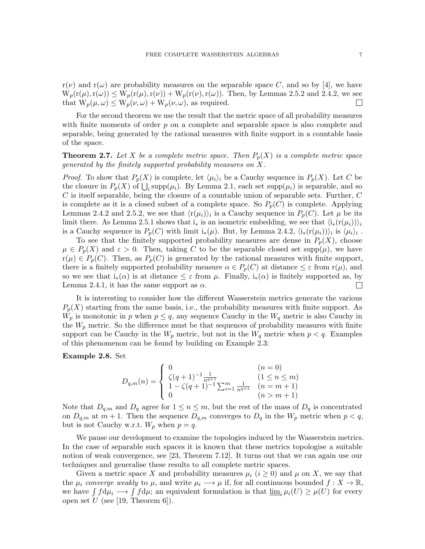$r(\nu)$  and  $r(\omega)$  are probability measures on the separable space C, and so by [\[4\]](#page-15-9), we have  $W_p(r(\mu),r(\omega)) \leq W_p(r(\mu),r(\nu)) + W_p(r(\nu),r(\omega))$ . Then, by Lemmas [2.5.2](#page-5-1) and [2.4.2,](#page-4-1) we see that  $W_p(\mu, \omega) \le W_p(\nu, \omega) + W_p(\nu, \omega)$ , as required.  $\Box$ 

For the second theorem we use the result that the metric space of all probability measures with finite moments of order  $p$  on a complete and separable space is also complete and separable, being generated by the rational measures with finite support in a countable basis of the space.

<span id="page-6-0"></span>**Theorem 2.7.** Let X be a complete metric space. Then  $P_p(X)$  is a complete metric space generated by the finitely supported probability measures on  $X$ .

*Proof.* To show that  $P_p(X)$  is complete, let  $\langle \mu_i \rangle_i$  be a Cauchy sequence in  $P_p(X)$ . Let C be the closure in  $P_p(X)$  of  $\bigcup_i \text{supp}(\mu_i)$ . By Lemma [2.1,](#page-2-1) each set  $\text{supp}(\mu_i)$  is separable, and so  $C$  is itself separable, being the closure of a countable union of separable sets. Further,  $C$ is complete as it is a closed subset of a complete space. So  $P_p(C)$  is complete. Applying Lemmas [2.4.2](#page-4-1) and [2.5.2,](#page-5-1) we see that  $\langle r(\mu_i) \rangle_i$  is a Cauchy sequence in  $P_p(C)$ . Let  $\mu$  be its limit there. As Lemma [2.5.1](#page-5-2) shows that  $i_*$  is an isometric embedding, we see that  $\langle i_*(r(\mu_i)) \rangle_i$ is a Cauchy sequence in  $P_p(C)$  with limit  $i_*(\mu)$ . But, by Lemma [2.4.2,](#page-4-1)  $\langle i_*(r(\mu_i))\rangle_i$  is  $\langle \mu_i\rangle_i$ .

To see that the finitely supported probability measures are dense in  $P_p(X)$ , choose  $\mu \in P_p(X)$  and  $\varepsilon > 0$ . Then, taking C to be the separable closed set supp $(\mu)$ , we have  $r(\mu) \in P_p(C)$ . Then, as  $P_p(C)$  is generated by the rational measures with finite support, there is a finitely supported probability measure  $\alpha \in P_p(C)$  at distance  $\leq \varepsilon$  from  $r(\mu)$ , and so we see that  $i_*(\alpha)$  is at distance  $\leq \varepsilon$  from  $\mu$ . Finally,  $i_*(\alpha)$  is finitely supported as, by Lemma [2.4.1,](#page-4-0) it has the same support as  $\alpha$ .  $\Box$ 

It is interesting to consider how the different Wasserstein metrics generate the various  $P_p(X)$  starting from the same basis, i.e., the probability measures with finite support. As  $W_p$  is monotonic in p when  $p \leq q$ , any sequence Cauchy in the  $W_q$  metric is also Cauchy in the  $W_p$  metric. So the difference must be that sequences of probability measures with finite support can be Cauchy in the  $W_p$  metric, but not in the  $W_q$  metric when  $p < q$ . Examples of this phenomenon can be found by building on Example [2.3:](#page-3-1)

## Example 2.8. Set

$$
D_{q,m}(n) = \begin{cases} 0 & (n = 0) \\ \zeta(q+1)^{-1} \frac{1}{n^{q+1}} & (1 \le n \le m) \\ 1 - \zeta(q+1)^{-1} \sum_{i=1}^{m} \frac{1}{n^{q+1}} & (n = m+1) \\ 0 & (n > m+1) \end{cases}
$$

Note that  $D_{q,m}$  and  $D_q$  agree for  $1 \leq n \leq m$ , but the rest of the mass of  $D_q$  is concentrated on  $D_{q,m}$  at  $m+1$ . Then the sequence  $D_{q,m}$  converges to  $D_q$  in the  $W_p$  metric when  $p < q$ , but is not Cauchy w.r.t.  $W_p$  when  $p = q$ .

We pause our development to examine the topologies induced by the Wasserstein metrics. In the case of separable such spaces it is known that these metrics topologise a suitable notion of weak convergence, see [\[23,](#page-15-15) Theorem 7.12]. It turns out that we can again use our techniques and generalise these results to all complete metric spaces.

Given a metric space X and probability measures  $\mu_i$   $(i \geq 0)$  and  $\mu$  on X, we say that the  $\mu_i$  converge weakly to  $\mu$ , and write  $\mu_i \longrightarrow \mu$  if, for all continuous bounded  $f: X \longrightarrow \mathbb{R}$ , we have  $\int f d\mu_i \longrightarrow \int f d\mu$ ; an equivalent formulation is that  $\underline{\lim}_i \mu_i(U) \ge \mu(U)$  for every open set  $U$  (see [\[19,](#page-15-12) Theorem 6]).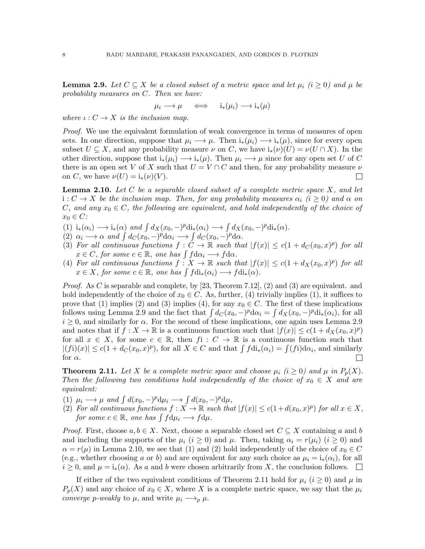<span id="page-7-0"></span>**Lemma 2.9.** Let  $C \subseteq X$  be a closed subset of a metric space and let  $\mu_i$  (i  $\geq 0$ ) and  $\mu$  be probability measures on C. Then we have:

$$
\mu_i \longrightarrow \mu \quad \iff \quad \mathrm{i}_*(\mu_i) \longrightarrow \mathrm{i}_*(\mu)
$$

where  $\iota: C \to X$  is the inclusion map.

Proof. We use the equivalent formulation of weak convergence in terms of measures of open sets. In one direction, suppose that  $\mu_i \longrightarrow \mu$ . Then  $i_*(\mu_i) \longrightarrow i_*(\mu)$ , since for every open subset  $U \subseteq X$ , and any probability measure  $\nu$  on C, we have  $i_*(\nu)(U) = \nu(U \cap X)$ . In the other direction, suppose that  $i_*(\mu_i) \longrightarrow i_*(\mu)$ . Then  $\mu_i \longrightarrow \mu$  since for any open set U of C there is an open set V of X such that  $U = V \cap C$  and then, for any probability measure  $\nu$ on C, we have  $\nu(U) = i_*(\nu)(V)$ .  $\Box$ 

<span id="page-7-1"></span>**Lemma 2.10.** Let  $C$  be a separable closed subset of a complete metric space  $X$ , and let  $i: C \to X$  be the inclusion map. Then, for any probability measures  $\alpha_i$  (i > 0) and  $\alpha$  on C, and any  $x_0 \in C$ , the following are equivalent, and hold independently of the choice of  $x_0 \in C$ :

- (1)  $i_*(\alpha_i) \longrightarrow i_*(\alpha)$  and  $\int d_X(x_0, -)^p \text{di}_*(\alpha_i) \longrightarrow \int d_X(x_0, -)^p \text{di}_*(\alpha)$ .
- (2)  $\alpha_i \longrightarrow \alpha$  and  $\int d_C(x_0, -)^p d\alpha_i \longrightarrow \int d_C(x_0, -)^p d\alpha$ .
- (3) For all continuous functions  $f: \check{C} \to \mathbb{R}$  such that  $|f(x)| \leq c(1 + d_C(x_0, x)^p)$  for all  $x \in C$ , for some  $c \in \mathbb{R}$ , one has  $\int f d\alpha_i \longrightarrow f d\alpha$ .
- (4) For all continuous functions  $f: X \to \mathbb{R}$  such that  $|f(x)| \leq c(1 + d_X(x_0, x)^p)$  for all  $x \in X$ , for some  $c \in \mathbb{R}$ , one has  $\int f \text{di}_*(\alpha_i) \longrightarrow f \text{di}_*(\alpha)$ .

*Proof.* As C is separable and complete, by  $[23,$  Theorem 7.12,  $(2)$  and  $(3)$  are equivalent. and hold independently of the choice of  $x_0 \in C$ . As, further, (4) trivially implies (1), it suffices to prove that (1) implies (2) and (3) implies (4), for any  $x_0 \in C$ . The first of these implications follows using Lemma [2.9](#page-7-0) and the fact that  $\int d_C(x_0, -)^p d\alpha_i = \int d_X(x_0, -)^p d\mathbf{i}_*(\alpha_i)$ , for all  $i \geq 0$ , and similarly for  $\alpha$ . For the second of these implications, one again uses Lemma [2.9](#page-7-0) and notes that if  $f: X \to \mathbb{R}$  is a continuous function such that  $|f(x)| \leq c(1 + d_X(x_0, x)^p)$ for all  $x \in X$ , for some  $c \in \mathbb{R}$ , then  $f_i : C \to \mathbb{R}$  is a continuous function such that  $|(f_i)(x)| \le c(1 + d_C(x_0, x)^p)$ , for all  $X \in C$  and that  $\int f d\mathbf{i}_*(\alpha_i) = \int (f_i) d\alpha_i$ , and similarly for  $\alpha$ .  $\Box$ 

<span id="page-7-2"></span>**Theorem 2.11.** Let X be a complete metric space and choose  $\mu_i$  (i  $\geq 0$ ) and  $\mu$  in  $P_p(X)$ . Then the following two conditions hold independently of the choice of  $x_0 \in X$  and are equivalent:

- (1)  $\mu_i \longrightarrow \mu$  and  $\int d(x_0, -)^p d\mu_i \longrightarrow \int d(x_0, -)^p d\mu$ ,
- (2) For all continuous functions  $f: X \to \mathbb{R}$  such that  $|f(x)| \le c(1 + d(x_0, x)^p)$  for all  $x \in X$ , for some  $c \in \mathbb{R}$ , one has  $\int f d\mu_i \longrightarrow f d\mu$ .

*Proof.* First, choose  $a, b \in X$ . Next, choose a separable closed set  $C \subseteq X$  containing a and b and including the supports of the  $\mu_i$   $(i \geq 0)$  and  $\mu$ . Then, taking  $\alpha_i = r(\mu_i)$   $(i \geq 0)$  and  $\alpha = r(\mu)$  in Lemma [2.10,](#page-7-1) we see that (1) and (2) hold independently of the choice of  $x_0 \in C$ (e.g., whether choosing a or b) and are equivalent for any such choice as  $\mu_i = i_*(\alpha_i)$ , for all  $i \geq 0$ , and  $\mu = i_*(\alpha)$ . As a and b were chosen arbitrarily from X, the conclusion follows.  $\square$ 

If either of the two equivalent conditions of Theorem [2.11](#page-7-2) hold for  $\mu_i$  ( $i \geq 0$ ) and  $\mu$  in  $P_p(X)$  and any choice of  $x_0 \in X$ , where X is a complete metric space, we say that the  $\mu_i$ *converge p-weakly to*  $\mu$ *, and write*  $\mu_i \longrightarrow_p \mu$ *.*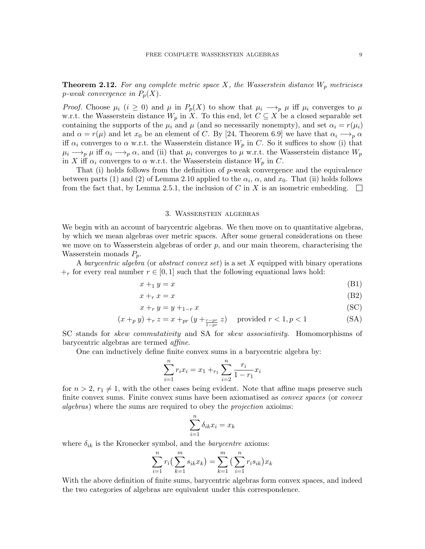<span id="page-8-0"></span>**Theorem 2.12.** For any complete metric space X, the Wasserstein distance  $W_p$  metricises p-weak convergence in  $P_p(X)$ .

*Proof.* Choose  $\mu_i$  ( $i \geq 0$ ) and  $\mu$  in  $P_p(X)$  to show that  $\mu_i \longrightarrow_p \mu$  iff  $\mu_i$  converges to  $\mu$ w.r.t. the Wasserstein distance  $W_p$  in X. To this end, let  $C \subseteq X$  be a closed separable set containing the supports of the  $\mu_i$  and  $\mu$  (and so necessarily nonempty), and set  $\alpha_i = r(\mu_i)$ and  $\alpha = r(\mu)$  and let  $x_0$  be an element of C. By [\[24,](#page-15-10) Theorem 6.9] we have that  $\alpha_i \longrightarrow_p \alpha$ iff  $\alpha_i$  converges to  $\alpha$  w.r.t. the Wasserstein distance  $W_p$  in C. So it suffices to show (i) that  $\mu_i \longrightarrow_p \mu$  iff  $\alpha_i \longrightarrow_p \alpha$ , and (ii) that  $\mu_i$  converges to  $\mu$  w.r.t. the Wasserstein distance  $W_p$ in X iff  $\alpha_i$  converges to  $\alpha$  w.r.t. the Wasserstein distance  $W_p$  in C.

That (i) holds follows from the definition of p-weak convergence and the equivalence between parts (1) and (2) of Lemma [2.10](#page-7-1) applied to the  $\alpha_i$ ,  $\alpha$ , and  $x_0$ . That (ii) holds follows from the fact that, by Lemma [2.5.1,](#page-5-2) the inclusion of C in X is an isometric embedding.  $\Box$ 

## 3. Wasserstein algebras

<span id="page-8-1"></span>We begin with an account of barycentric algebras. We then move on to quantitative algebras, by which we mean algebras over metric spaces. After some general considerations on these we move on to Wasserstein algebras of order  $p$ , and our main theorem, characterising the Wasserstein monads  $P_p$ .

A barycentric algebra (or abstract convex set) is a set X equipped with binary operations  $+r$  for every real number  $r \in [0, 1]$  such that the following equational laws hold:

$$
x +_1 y = x \tag{B1}
$$

$$
x +_r x = x \tag{B2}
$$

$$
x +_r y = y +_{1-r} x \tag{SC}
$$

$$
(x +_p y) +_r z = x +_{pr} (y +_{\frac{r - pr}{1 - pr}} z) \text{ provided } r < 1, p < 1
$$
 (SA)

SC stands for skew commutativity and SA for skew associativity. Homomorphisms of barycentric algebras are termed affine.

One can inductively define finite convex sums in a barycentric algebra by:

$$
\sum_{i=1}^{n} r_i x_i = x_1 + r_1 \sum_{i=2}^{n} \frac{r_i}{1 - r_1} x_i
$$

for  $n > 2$ ,  $r_1 \neq 1$ , with the other cases being evident. Note that affine maps preserve such finite convex sums. Finite convex sums have been axiomatised as *convex spaces* (or *convex* algebras) where the sums are required to obey the projection axioims:

$$
\sum_{i=1}^{n} \delta_{ik} x_i = x_k
$$

where  $\delta_{ik}$  is the Kronecker symbol, and the *barycentre* axioms:

$$
\sum_{i=1}^{n} r_i \left( \sum_{k=1}^{m} s_{ik} x_k \right) = \sum_{k=1}^{m} \left( \sum_{i=1}^{n} r_i s_{ik} \right) x_k
$$

With the above definition of finite sums, barycentric algebras form convex spaces, and indeed the two categories of algebras are equivalent under this correspondence.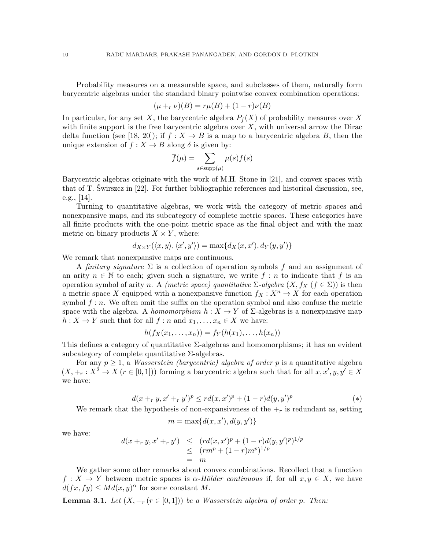Probability measures on a measurable space, and subclasses of them, naturally form barycentric algebras under the standard binary pointwise convex combination operations:

$$
(\mu +_r \nu)(B) = r\mu(B) + (1 - r)\nu(B)
$$

In particular, for any set X, the barycentric algebra  $P_f(X)$  of probability measures over X with finite support is the free barycentric algebra over  $X$ , with universal arrow the Dirac delta function (see [\[18,](#page-15-16) [20\]](#page-15-17)); if  $f: X \to B$  is a map to a barycentric algebra B, then the unique extension of  $f : X \to B$  along  $\delta$  is given by:

$$
\overline{f}(\mu) = \sum_{s \in \text{supp}(\mu)} \mu(s) f(s)
$$

Barycentric algebras originate with the work of M.H. Stone in [\[21\]](#page-15-18), and convex spaces with that of T. Swirszcz in  $[22]$  $[22]$ . For further bibliographic references and historical discussion, see, e.g., [\[14\]](#page-15-20).

Turning to quantitative algebras, we work with the category of metric spaces and nonexpansive maps, and its subcategory of complete metric spaces. These categories have all finite products with the one-point metric space as the final object and with the max metric on binary products  $X \times Y$ , where:

$$
d_{X\times Y}(\langle x,y \rangle,\langle x',y' \rangle) = \max\{d_X(x,x'),d_Y(y,y')\}
$$

We remark that nonexpansive maps are continuous.

A finitary signature  $\Sigma$  is a collection of operation symbols f and an assignment of an arity  $n \in \mathbb{N}$  to each; given such a signature, we write  $f : n$  to indicate that f is an operation symbol of arity n. A (metric space) quantitative  $\Sigma$ -algebra  $(X, f_X (f \in \Sigma))$  is then a metric space X equipped with a nonexpansive function  $f_X : X^n \to X$  for each operation symbol  $f: n$ . We often omit the suffix on the operation symbol and also confuse the metric space with the algebra. A homomorphism  $h: X \to Y$  of  $\Sigma$ -algebras is a nonexpansive map  $h: X \to Y$  such that for all  $f: n$  and  $x_1, \ldots, x_n \in X$  we have:

$$
h(f_X(x_1,\ldots,x_n))=f_Y(h(x_1),\ldots,h(x_n))
$$

This defines a category of quantitative  $\Sigma$ -algebras and homomorphisms; it has an evident subcategory of complete quantitative  $\Sigma$ -algebras.

For any  $p \geq 1$ , a *Wasserstein (barycentric) algebra of order p* is a quantitative algebra  $(X, +_r : X^2 \to X \ (r \in [0,1]))$  forming a barycentric algebra such that for all  $x, x', y, y' \in X$ we have:

$$
d(x +_r y, x' +_r y')^p \le r d(x, x')^p + (1 - r) d(y, y')^p \tag{*}
$$

We remark that the hypothesis of non-expansiveness of the  $+_r$  is redundant as, setting

<span id="page-9-0"></span>
$$
m=\max\{d(x,x'),d(y,y')\}
$$

we have:

$$
d(x +_r y, x' +_r y') \leq (r d(x, x')^p + (1 - r) d(y, y')^p)^{1/p}
$$
  
\n
$$
\leq (r m^p + (1 - r) m^p)^{1/p}
$$
  
\n
$$
= m
$$

We gather some other remarks about convex combinations. Recollect that a function  $f: X \to Y$  between metric spaces is  $\alpha$ -Hölder continuous if, for all  $x, y \in X$ , we have  $d(fx, fy) \leq Md(x, y)^{\alpha}$  for some constant M.

**Lemma 3.1.** Let  $(X, +_r (r \in [0,1]))$  be a Wasserstein algebra of order p. Then: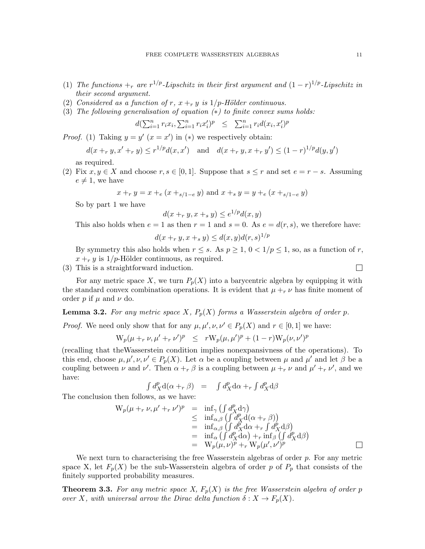- (1) The functions  $\pm_r$  are  $r^{1/p}$ -Lipschitz in their first argument and  $(1-r)^{1/p}$ -Lipschitz in their second argument.
- (2) Considered as a function of r,  $x +_r y$  is  $1/p$ -Hölder continuous.
- <span id="page-10-0"></span>(3) The following generalisation of equation  $(*)$  to finite convex sums holds:

$$
d(\sum_{i=1}^{n} r_i x_i, \sum_{i=1}^{n} r_i x_i')^p \leq \sum_{i=1}^{n} r_i d(x_i, x_i')^p
$$

*Proof.* (1) Taking  $y = y'$   $(x = x')$  in  $(*)$  we respectively obtain:

$$
d(x +_r y, x' +_r y) \le r^{1/p} d(x, x') \quad \text{and} \quad d(x +_r y, x +_r y') \le (1 - r)^{1/p} d(y, y')
$$

as required.

(2) Fix  $x, y \in X$  and choose  $r, s \in [0, 1]$ . Suppose that  $s \leq r$  and set  $e = r - s$ . Assuming  $e \neq 1$ , we have

$$
x +_r y = x +_e (x +_{s/1-e} y)
$$
 and  $x +_s y = y +_e (x +_{s/1-e} y)$ 

So by part 1 we have

$$
d(x +_r y, x +_s y) \le e^{1/p} d(x, y)
$$

This also holds when  $e = 1$  as then  $r = 1$  and  $s = 0$ . As  $e = d(r, s)$ , we therefore have:

$$
d(x +_r y, x +_s y) \le d(x, y)d(r, s)^{1/p}
$$

By symmetry this also holds when  $r \leq s$ . As  $p \geq 1$ ,  $0 < 1/p \leq 1$ , so, as a function of r,  $x +<sub>r</sub> y$  is 1/p-Hölder continuous, as required.

(3) This is a straightforward induction.

For any metric space X, we turn  $P_p(X)$  into a barycentric algebra by equipping it with the standard convex combination operations. It is evident that  $\mu +_{r} \nu$  has finite moment of order p if  $\mu$  and  $\nu$  do.

<span id="page-10-1"></span>**Lemma 3.2.** For any metric space X,  $P_p(X)$  forms a Wasserstein algebra of order p.

*Proof.* We need only show that for any  $\mu, \mu', \nu, \nu' \in P_p(X)$  and  $r \in [0, 1]$  we have:

$$
W_p(\mu +_r \nu, \mu' +_r \nu')^p \leq rW_p(\mu, \mu')^p + (1-r)W_p(\nu, \nu')^p
$$

(recalling that theWasserstein condition implies nonexpansivness of the operations). To this end, choose  $\mu, \mu', \nu, \nu' \in P_p(X)$ . Let  $\alpha$  be a coupling between  $\mu$  and  $\mu'$  and let  $\beta$  be a coupling between  $\nu$  and  $\nu'$ . Then  $\alpha +_{r} \beta$  is a coupling between  $\mu +_{r} \nu$  and  $\mu' +_{r} \nu'$ , and we have:

$$
\int d_X^p \mathbf{d}(\alpha +_r \beta) = \int d_X^p \mathbf{d}\alpha +_r \int d_X^p \mathbf{d}\beta
$$

The conclusion then follows, as we have:

$$
W_p(\mu +_r \nu, \mu' +_r \nu')^p = \inf_{\gamma} \left( \int d_X^p d\gamma \right)
$$
  
\n
$$
\leq \inf_{\alpha, \beta} \left( \int d_X^p d(\alpha +_r \beta) \right)
$$
  
\n
$$
= \inf_{\alpha, \beta} \left( \int d_X^p d\alpha +_r \int d_X^p d\beta \right)
$$
  
\n
$$
= \inf_{\alpha} \left( \int d_X^p d\alpha \right) +_r \inf_{\beta} \left( \int d_X^p d\beta \right)
$$
  
\n
$$
= W_p(\mu, \nu)^p +_r W_p(\mu', \nu')^p
$$

We next turn to characterising the free Wasserstein algebras of order  $p$ . For any metric space X, let  $F_p(X)$  be the sub-Wasserstein algebra of order p of  $P_p$  that consists of the finitely supported probability measures.

<span id="page-10-2"></span>**Theorem 3.3.** For any metric space X,  $F_p(X)$  is the free Wasserstein algebra of order p over X, with universal arrow the Dirac delta function  $\delta: X \to F_p(X)$ .

 $\Box$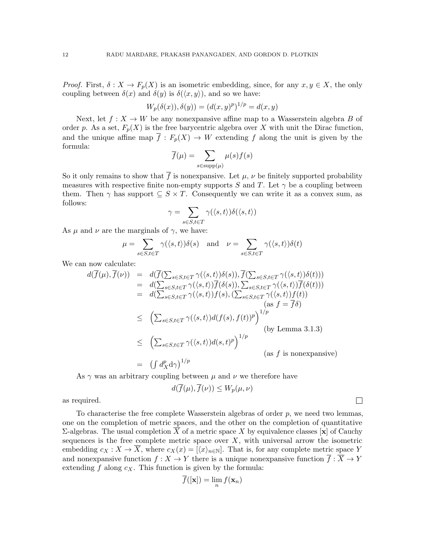*Proof.* First,  $\delta: X \to F_p(X)$  is an isometric embedding, since, for any  $x, y \in X$ , the only coupling between  $\delta(x)$  and  $\delta(y)$  is  $\delta(\langle x, y \rangle)$ , and so we have:

$$
W_p(\delta(x)), \delta(y)) = (d(x, y)^p)^{1/p} = d(x, y)
$$

Next, let  $f: X \to W$  be any nonexpansive affine map to a Wasserstein algebra B of order p. As a set,  $F_p(X)$  is the free barycentric algebra over X with unit the Dirac function, and the unique affine map  $\overline{f}: F_p(X) \to W$  extending f along the unit is given by the formula:

$$
\overline{f}(\mu) = \sum_{s \in \text{supp}(\mu)} \mu(s) f(s)
$$

So it only remains to show that  $\bar{f}$  is nonexpansive. Let  $\mu$ ,  $\nu$  be finitely supported probability measures with respective finite non-empty supports S and T. Let  $\gamma$  be a coupling between them. Then  $\gamma$  has support  $\subseteq S \times T$ . Consequently we can write it as a convex sum, as follows:

$$
\gamma = \sum_{s \in S, t \in T} \gamma(\langle s, t \rangle) \delta(\langle s, t \rangle)
$$

As  $\mu$  and  $\nu$  are the marginals of  $\gamma$ , we have:

$$
\mu = \sum_{s \in S, t \in T} \gamma(\langle s, t \rangle) \delta(s) \quad \text{and} \quad \nu = \sum_{s \in S, t \in T} \gamma(\langle s, t \rangle) \delta(t)
$$

We can now calculate:

$$
d(\overline{f}(\mu), \overline{f}(\nu)) = d(\overline{f}(\sum_{s \in S, t \in T} \gamma(\langle s, t \rangle)\delta(s)), \overline{f}(\sum_{s \in S, t \in T} \gamma(\langle s, t \rangle)\delta(t)))
$$
  
\n
$$
= d(\sum_{s \in S, t \in T} \gamma(\langle s, t \rangle)\overline{f}(\delta(s)), \sum_{s \in S, t \in T} \gamma(\langle s, t \rangle)\overline{f}(\delta(t)))
$$
  
\n
$$
= d(\sum_{s \in S, t \in T} \gamma(\langle s, t \rangle)f(s), (\sum_{s \in S, t \in T} \gamma(\langle s, t \rangle)f(t))
$$
  
\n
$$
\leq (\sum_{s \in S, t \in T} \gamma(\langle s, t \rangle)d(f(s), f(t))^p)^{1/p}
$$
  
\n
$$
\leq (\sum_{s \in S, t \in T} \gamma(\langle s, t \rangle)d(s, t)^p)^{1/p}
$$
  
\n
$$
= (\int d^p_{X}d\gamma)^{1/p}
$$
  
\n
$$
(as f is nonexpansive)
$$

As  $\gamma$  was an arbitrary coupling between  $\mu$  and  $\nu$  we therefore have

$$
d(\overline{f}(\mu), \overline{f}(\nu)) \le W_p(\mu, \nu)
$$

 $\Box$ 

as required.

To characterise the free complete Wasserstein algebras of order  $p$ , we need two lemmas, one on the completion of metric spaces, and the other on the completion of quantitative Σ-algebras. The usual completion  $\overline{X}$  of a metric space X by equivalence classes [x] of Cauchy sequences is the free complete metric space over  $X$ , with universal arrow the isometric embedding  $c_X : X \to \overline{X}$ , where  $c_X(x) = [\langle x \rangle_{n \in \mathbb{N}}]$ . That is, for any complete metric space Y and nonexpansive function  $f: X \to Y$  there is a unique nonexpansive function  $\overline{f}: \overline{X} \to Y$ extending  $f$  along  $c_X$ . This function is given by the formula:

$$
f([\mathbf{x}]) = \lim_n f(\mathbf{x}_n)
$$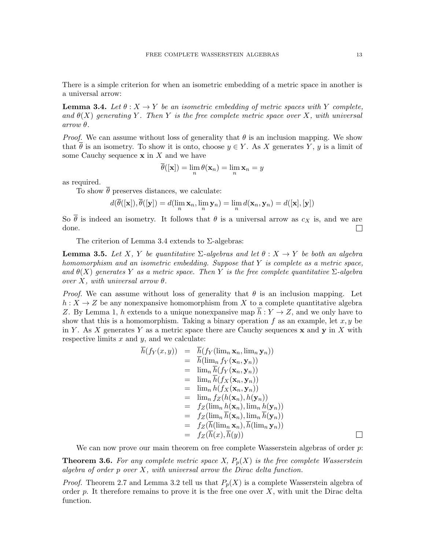There is a simple criterion for when an isometric embedding of a metric space in another is a universal arrow:

<span id="page-12-1"></span>**Lemma 3.4.** Let  $\theta: X \to Y$  be an isometric embedding of metric spaces with Y complete, and  $\theta(X)$  generating Y. Then Y is the free complete metric space over X, with universal  $arrow \theta$ .

*Proof.* We can assume without loss of generality that  $\theta$  is an inclusion mapping. We show that  $\theta$  is an isometry. To show it is onto, choose  $y \in Y$ . As X generates Y, y is a limit of some Cauchy sequence  $x$  in  $X$  and we have

$$
\overline{\theta}([\mathbf{x}]) = \lim_{n} \theta(\mathbf{x}_n) = \lim_{n} \mathbf{x}_n = y
$$

as required.

To show  $\theta$  preserves distances, we calculate:

$$
d(\overline{\theta}([\mathbf{x}]), \overline{\theta}([\mathbf{y}]) = d(\lim_n \mathbf{x}_n, \lim_n \mathbf{y}_n) = \lim_n d(\mathbf{x}_n, \mathbf{y}_n) = d([\mathbf{x}], [\mathbf{y}])
$$

So  $\bar{\theta}$  is indeed an isometry. It follows that  $\theta$  is a universal arrow as  $c_X$  is, and we are done.  $\Box$ 

The criterion of Lemma [3.4](#page-12-1) extends to  $\Sigma$ -algebras:

<span id="page-12-2"></span>**Lemma 3.5.** Let X, Y be quantitative  $\Sigma$ -algebras and let  $\theta : X \to Y$  be both an algebra homomorphism and an isometric embedding. Suppose that  $Y$  is complete as a metric space, and  $\theta(X)$  generates Y as a metric space. Then Y is the free complete quantitative  $\Sigma$ -algebra over X, with universal arrow  $\theta$ .

*Proof.* We can assume without loss of generality that  $\theta$  is an inclusion mapping. Let  $h: X \to Z$  be any nonexpansive homomorphism from X to a complete quantitative algebra Z. By Lemma 1, h extends to a unique nonexpansive map  $\overline{h}: Y \to Z$ , and we only have to show that this is a homomorphism. Taking a binary operation  $f$  as an example, let  $x, y$  be in Y. As X generates Y as a metric space there are Cauchy sequences  $\bf{x}$  and  $\bf{y}$  in X with respective limits  $x$  and  $y$ , and we calculate:

$$
\begin{array}{rcl} \overline{h}(f_Y(x,y))&=&\overline{h}(f_Y(\lim_n\mathbf{x}_n,\lim_n\mathbf{y}_n))\\ &=&\overline{h}(\lim_n f_Y(\mathbf{x}_n,\mathbf{y}_n))\\ &=&\lim_n \overline{h}(f_Y(\mathbf{x}_n,\mathbf{y}_n))\\ &=&\lim_n h(f_X(\mathbf{x}_n,\mathbf{y}_n))\\ &=&\lim_n h(f_X(\mathbf{x}_n,\mathbf{y}_n))\\ &=&\lim_n f_Z(h(\mathbf{x}_n),h(\mathbf{y}_n))\\ &=&f_Z(\lim_n \overline{h}(\mathbf{x}_n),\lim_n h(\mathbf{y}_n))\\ &=&f_Z(\overline{h}(\lim_n\mathbf{x}_n),\overline{h}(\lim_n\mathbf{y}_n))\\ &=&f_Z(\overline{h}(\lim_n\mathbf{x}_n),\overline{h}(\lim_n\mathbf{y}_n))\\ &=&f_Z(\overline{h}(x),\overline{h}(y)) \end{array}
$$

We can now prove our main theorem on free complete Wasserstein algebras of order p:

<span id="page-12-0"></span>**Theorem 3.6.** For any complete metric space X,  $P_p(X)$  is the free complete Wasserstein algebra of order  $p$  over  $X$ , with universal arrow the Dirac delta function.

*Proof.* Theorem [2.7](#page-6-0) and Lemma [3.2](#page-10-1) tell us that  $P_p(X)$  is a complete Wasserstein algebra of order p. It therefore remains to prove it is the free one over  $X$ , with unit the Dirac delta function.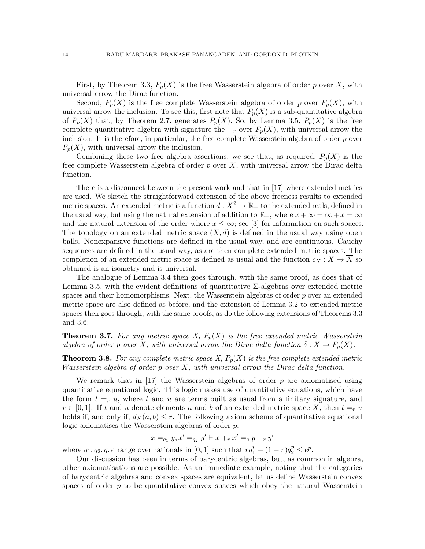First, by Theorem [3.3,](#page-10-2)  $F_p(X)$  is the free Wasserstein algebra of order p over X, with universal arrow the Dirac function.

Second,  $P_p(X)$  is the free complete Wasserstein algebra of order p over  $F_p(X)$ , with universal arrow the inclusion. To see this, first note that  $F_p(X)$  is a sub-quantitative algebra of  $P_p(X)$  that, by Theorem [2.7,](#page-6-0) generates  $P_p(X)$ , So, by Lemma [3.5,](#page-12-2)  $P_p(X)$  is the free complete quantitative algebra with signature the  $+_r$  over  $F_p(X)$ , with universal arrow the inclusion. It is therefore, in particular, the free complete Wasserstein algebra of order  $p$  over  $F_p(X)$ , with universal arrow the inclusion.

Combining these two free algebra assertions, we see that, as required,  $P_p(X)$  is the free complete Wasserstein algebra of order  $p$  over  $X$ , with universal arrow the Dirac delta function.  $\Box$ 

There is a disconnect between the present work and that in [\[17\]](#page-15-8) where extended metrics are used. We sketch the straightforward extension of the above freeness results to extended metric spaces. An extended metric is a function  $d: X^2 \to \overline{\mathbb{R}}_+$  to the extended reals, defined in the usual way, but using the natural extension of addition to  $\overline{\mathbb{R}}_+$ , where  $x + \infty = \infty + x = \infty$ and the natural extension of the order where  $x \leq \infty$ ; see [\[3\]](#page-15-21) for information on such spaces. The topology on an extended metric space  $(X, d)$  is defined in the usual way using open balls. Nonexpansive functions are defined in the usual way, and are continuous. Cauchy sequences are defined in the usual way, as are then complete extended metric spaces. The completion of an extended metric space is defined as usual and the function  $c_X : X \to \overline{X}$  so obtained is an isometry and is universal.

The analogue of Lemma [3.4](#page-12-1) then goes through, with the same proof, as does that of Lemma [3.5,](#page-12-2) with the evident definitions of quantitative Σ-algebras over extended metric spaces and their homomorphisms. Next, the Wasserstein algebras of order  $p$  over an extended metric space are also defined as before, and the extension of Lemma [3.2](#page-10-1) to extended metric spaces then goes through, with the same proofs, as do the following extensions of Theorems [3.3](#page-10-2) and [3.6:](#page-12-0)

**Theorem 3.7.** For any metric space X,  $F_p(X)$  is the free extended metric Wasserstein algebra of order p over X, with universal arrow the Dirac delta function  $\delta: X \to F_p(X)$ .

**Theorem 3.8.** For any complete metric space X,  $P_p(X)$  is the free complete extended metric Wasserstein algebra of order p over X, with universal arrow the Dirac delta function.

We remark that in [\[17\]](#page-15-8) the Wasserstein algebras of order  $p$  are axiomatised using quantitative equational logic. This logic makes use of quantitative equations, which have the form  $t =r u$ , where t and u are terms built as usual from a finitary signature, and  $r \in [0,1]$ . If t and u denote elements a and b of an extended metric space X, then  $t =r u$ holds if, and only if,  $d_X(a, b) \leq r$ . The following axiom scheme of quantitative equational logic axiomatises the Wasserstein algebras of order p:

$$
x =_{q_1} y, x' =_{q_2} y' \vdash x +_r x' =_e y +_r y'
$$

where  $q_1, q_2, q, e$  range over rationals in [0, 1] such that  $rq_1^p + (1 - r)q_2^p \leq e^p$ .

Our discussion has been in terms of barycentric algebras, but, as common in algebra, other axiomatisations are possible. As an immediate example, noting that the categories of barycentric algebras and convex spaces are equivalent, let us define Wasserstein convex spaces of order  $p$  to be quantitative convex spaces which obey the natural Wasserstein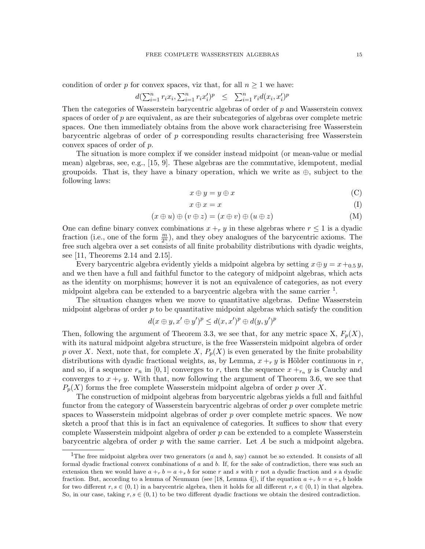condition of order p for convex spaces, viz that, for all  $n \geq 1$  we have:

$$
d(\sum_{i=1}^{n} r_i x_i, \sum_{i=1}^{n} r_i x_i')^p \leq \sum_{i=1}^{n} r_i d(x_i, x_i')^p
$$

Then the categories of Wasserstein barycentric algebras of order of  $p$  and Wasserstein convex spaces of order of  $p$  are equivalent, as are their subcategories of algebras over complete metric spaces. One then immediately obtains from the above work characterising free Wasserstein barycentric algebras of order of  $p$  corresponding results characterising free Wasserstein convex spaces of order of p.

The situation is more complex if we consider instead midpoint (or mean-value or medial mean) algebras, see, e.g., [\[15,](#page-15-22) [9\]](#page-15-23). These algebras are the commutative, idempotent, medial groupoids. That is, they have a binary operation, which we write as  $\oplus$ , subject to the following laws:

$$
x \oplus y = y \oplus x \tag{C}
$$

$$
x \oplus x = x \tag{I}
$$

$$
(x \oplus u) \oplus (v \oplus z) = (x \oplus v) \oplus (u \oplus z) \tag{M}
$$

One can define binary convex combinations  $x +_r y$  in these algebras where  $r \leq 1$  is a dyadic fraction (i.e., one of the form  $\frac{m}{2^n}$ ), and they obey analogues of the barycentric axioms. The free such algebra over a set consists of all finite probability distributions with dyadic weights, see [\[11,](#page-15-24) Theorems 2.14 and 2.15].

Every barycentric algebra evidently yields a midpoint algebra by setting  $x \oplus y = x +_{0.5} y$ , and we then have a full and faithful functor to the category of midpoint algebras, which acts as the identity on morphisms; however it is not an equivalence of categories, as not every midpoint algebra can be extended to a barycentric algebra with the same carrier  $<sup>1</sup>$  $<sup>1</sup>$  $<sup>1</sup>$ .</sup>

The situation changes when we move to quantitative algebras. Define Wasserstein midpoint algebras of order  $p$  to be quantitative midpoint algebras which satisfy the condition

$$
d(x \oplus y, x' \oplus y')^p \le d(x, x')^p \oplus d(y, y')^p
$$

Then, following the argument of Theorem [3.3,](#page-10-2) we see that, for any metric space X,  $F_p(X)$ , with its natural midpoint algebra structure, is the free Wasserstein midpoint algebra of order p over X. Next, note that, for complete X,  $P_p(X)$  is even generated by the finite probability distributions with dyadic fractional weights, as, by Lemma,  $x +<sub>r</sub> y$  is Hölder continuous in r, and so, if a sequence  $r_n$  in [0, 1] converges to r, then the sequence  $x + r_n y$  is Cauchy and converges to  $x +<sub>r</sub> y$ . With that, now following the argument of Theorem [3.6,](#page-12-0) we see that  $P_p(X)$  forms the free complete Wasserstein midpoint algebra of order p over X.

The construction of midpoint algebras from barycentric algebras yields a full and faithful functor from the category of Wasserstein barycentric algebras of order  $p$  over complete metric spaces to Wasserstein midpoint algebras of order p over complete metric spaces. We now sketch a proof that this is in fact an equivalence of categories. It suffices to show that every complete Wasserstein midpoint algebra of order  $p$  can be extended to a complete Wasserstein barycentric algebra of order  $p$  with the same carrier. Let  $A$  be such a midpoint algebra.

<span id="page-14-0"></span><sup>&</sup>lt;sup>1</sup>The free midpoint algebra over two generators ( $a$  and  $b$ , say) cannot be so extended. It consists of all formal dyadic fractional convex combinations of  $a$  and  $b$ . If, for the sake of contradiction, there was such an extension then we would have  $a + b = a + s$  for some r and s with r not a dyadic fraction and s a dyadic fraction. But, according to a lemma of Neumann (see [\[18,](#page-15-16) Lemma 4]), if the equation  $a +_r b = a +_s b$  holds for two different  $r, s \in (0, 1)$  in a barycentric algebra, then it holds for all different  $r, s \in (0, 1)$  in that algebra. So, in our case, taking  $r, s \in (0, 1)$  to be two different dyadic fractions we obtain the desired contradiction.